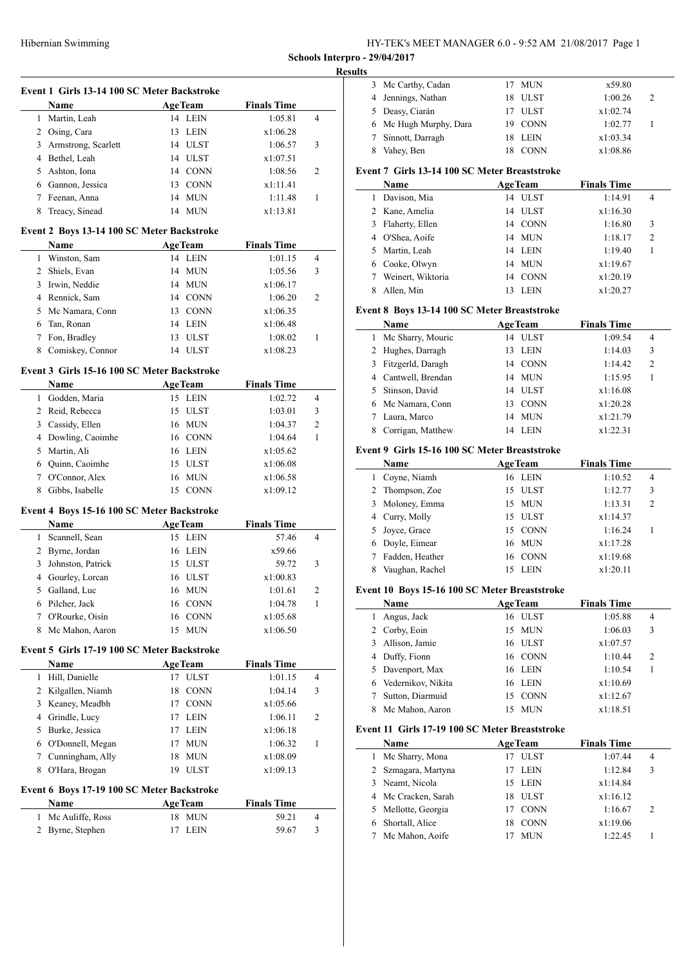| HY-TEK's MEET MANAGER 6.0 - 9:52 AM 21/08/2017 Page 1 |  |
|-------------------------------------------------------|--|
|-------------------------------------------------------|--|

**Schools Interpro - 29/04/2017 Results**

|   | Event 1 Girls 13-14 100 SC Meter Backstroke<br>Name | AgeTeam                                    | <b>Finals Time</b> |                         |
|---|-----------------------------------------------------|--------------------------------------------|--------------------|-------------------------|
|   | 1 Martin, Leah                                      | 14 LEIN                                    | 1:05.81            | 4                       |
|   | 2 Osing, Cara                                       | 13 LEIN                                    | x1:06.28           |                         |
|   | 3 Armstrong, Scarlett                               | 14 ULST                                    | 1:06.57            | 3                       |
|   | 4 Bethel, Leah                                      | 14 ULST                                    | x1:07.51           |                         |
|   | 5 Ashton, Iona                                      | 14 CONN                                    | 1:08.56            | 2                       |
|   | 6 Gannon, Jessica                                   | 13 CONN                                    | x1:11.41           |                         |
|   | 7 Feenan, Anna                                      | 14 MUN                                     | 1:11.48            | 1                       |
| 8 |                                                     | 14 MUN                                     | x1:13.81           |                         |
|   | Treacy, Sinead                                      |                                            |                    |                         |
|   | Event 2 Boys 13-14 100 SC Meter Backstroke          |                                            |                    |                         |
|   | Name                                                | <b>AgeTeam</b><br>14 LEIN                  | <b>Finals Time</b> | 4                       |
|   | 1 Winston, Sam                                      |                                            | 1:01.15            |                         |
|   | 2 Shiels, Evan                                      | 14 MUN                                     | 1:05.56            | 3                       |
|   | 3 Irwin, Neddie                                     | 14 MUN                                     | x1:06.17           |                         |
|   | 4 Rennick, Sam                                      | 14 CONN                                    | 1:06.20            | 2                       |
|   | 5 Mc Namara, Conn                                   | 13 CONN                                    | x1:06.35           |                         |
|   | 6 Tan, Ronan                                        | 14 LEIN                                    | x1:06.48           |                         |
|   | 7 Fon, Bradley                                      | 13 ULST                                    | 1:08.02            | 1                       |
| 8 | Comiskey, Connor                                    | 14 ULST                                    | x1:08.23           |                         |
|   | Event 3 Girls 15-16 100 SC Meter Backstroke         |                                            |                    |                         |
|   | <b>Name</b>                                         | <b>AgeTeam</b>                             | <b>Finals Time</b> |                         |
|   | 1 Godden, Maria                                     | 15 LEIN                                    | 1:02.72            | 4                       |
|   | 2 Reid, Rebecca                                     | 15 ULST                                    | 1:03.01            | 3                       |
|   | 3 Cassidy, Ellen                                    | 16 MUN                                     | 1:04.37            | $\overline{c}$          |
|   | 4 Dowling, Caoimhe                                  | 16 CONN                                    | 1:04.64            | 1                       |
|   | 5 Martin, Ali                                       | 16 LEIN                                    | x1:05.62           |                         |
|   | 6 Quinn, Caoimhe                                    | 15 ULST                                    | x1:06.08           |                         |
|   | 7 O'Connor, Alex                                    | 16 MUN                                     | x1:06.58           |                         |
| 8 | Gibbs, Isabelle                                     | 15 CONN                                    | x1:09.12           |                         |
|   | Event 4 Boys 15-16 100 SC Meter Backstroke          |                                            |                    |                         |
|   | Name                                                | <b>AgeTeam</b>                             | <b>Finals Time</b> |                         |
|   | 1 Scannell, Sean                                    | 15 LEIN                                    | 57.46              | $\overline{4}$          |
|   | 2 Byrne, Jordan                                     | 16 LEIN                                    | x59.66             |                         |
|   | 3 Johnston, Patrick                                 | 15 ULST                                    | 59.72              | 3                       |
|   | 4 Gourley, Lorcan                                   | 16 ULST                                    | x1:00.83           |                         |
| 5 | Galland, Luc                                        | 16 MUN                                     | 1:01.61            | $\overline{\mathbf{c}}$ |
|   | 6 Pilcher, Jack                                     | 16 CONN                                    | 1:04.78            | 1                       |
| 7 | O'Rourke, Oisín                                     |                                            |                    |                         |
|   |                                                     | 16 CONN                                    | x1:05.68           |                         |
| 8 | Mc Mahon, Aaron                                     | 15<br>MUN                                  | x1:06.50           |                         |
|   | Event 5 Girls 17-19 100 SC Meter Backstroke         |                                            |                    |                         |
|   | Name                                                | <b>AgeTeam</b>                             | <b>Finals Time</b> |                         |
|   | 1 Hill, Danielle                                    | 17 ULST                                    | 1:01.15            | 4                       |
|   | 2 Kilgallen, Niamh                                  | 18 CONN                                    | 1:04.14            | 3                       |
|   | 3 Keaney, Meadbh                                    | 17 CONN                                    | x1:05.66           |                         |
|   | 4 Grindle, Lucy                                     | 17 LEIN                                    | 1:06.11            | 2                       |
|   | 5 Burke, Jessica                                    | 17 LEIN                                    | x1:06.18           |                         |
|   | 6 O'Donnell, Megan                                  | <b>MUN</b><br>17                           | 1:06.32            | 1                       |
|   | 7 Cunningham, Ally                                  | MUN<br>18                                  | x1:08.09           |                         |
| 8 | O'Hara, Brogan                                      | 19 ULST                                    | x1:09.13           |                         |
|   |                                                     | Event 6 Boys 17-19 100 SC Meter Backstroke |                    |                         |
|   |                                                     |                                            |                    |                         |
|   | Name                                                | <b>AgeTeam</b>                             | <b>Finals Time</b> |                         |
| 1 | Mc Auliffe, Ross                                    | 18 MUN                                     | 59.21              | 4                       |

| IJ. |                        |         |          |   |  |
|-----|------------------------|---------|----------|---|--|
|     | 3 Mc Carthy, Cadan     | 17 MUN  | x59.80   |   |  |
|     | 4 Jennings, Nathan     | 18 ULST | 1:00.26  | 2 |  |
|     | 5 Deasy, Ciarán        | 17 ULST | x1:02.74 |   |  |
|     | 6 Mc Hugh Murphy, Dara | 19 CONN | 1:02.77  |   |  |
|     | Sinnott, Darragh       | 18 LEIN | x1:03.34 |   |  |
|     | Vahey, Ben             | 18 CONN | x1:08.86 |   |  |
|     |                        |         |          |   |  |

#### **Event 7 Girls 13-14 100 SC Meter Breaststroke**

|   | <b>Name</b>       | <b>AgeTeam</b> |             | <b>Finals Time</b> |                |
|---|-------------------|----------------|-------------|--------------------|----------------|
| 1 | Davison, Mia      | 14             | ULST        | 1:14.91            | 4              |
|   | 2 Kane, Amelia    |                | 14 ULST     | x1:16.30           |                |
|   | 3 Flaherty, Ellen |                | 14 CONN     | 1:16.80            | 3              |
|   | 4 O'Shea, Aoife   |                | 14 MUN      | 1:18.17            | $\overline{c}$ |
|   | 5 Martin, Leah    |                | 14 LEIN     | 1:19.40            |                |
|   | 6 Cooke, Olwyn    | 14             | MUN         | x1:19.67           |                |
|   | Weinert, Wiktoria | 14             | <b>CONN</b> | x1:20.19           |                |
|   | Allen, Min        |                | <b>LEIN</b> | x1:20.27           |                |

# **Event 8 Boys 13-14 100 SC Meter Breaststroke**

|   | <b>Name</b>         |    | <b>AgeTeam</b> | <b>Finals Time</b> |                |
|---|---------------------|----|----------------|--------------------|----------------|
| 1 | Mc Sharry, Mouric   | 14 | ULST           | 1:09.54            | 4              |
|   | 2 Hughes, Darragh   | 13 | LEIN           | 1:14.03            | 3              |
|   | 3 Fitzgerld, Daragh | 14 | <b>CONN</b>    | 1:14.42            | $\overline{2}$ |
|   | 4 Cantwell, Brendan | 14 | MUN            | 1:15.95            |                |
|   | 5 Stinson, David    | 14 | ULST           | x1:16.08           |                |
|   | 6 Mc Namara, Conn   | 13 | <b>CONN</b>    | x1:20.28           |                |
|   | Laura, Marco        | 14 | MUN            | x1:21.79           |                |
|   | Corrigan, Matthew   | 14 | <b>LEIN</b>    | x1:22.31           |                |

### **Event 9 Girls 15-16 100 SC Meter Breaststroke**

| <b>Name</b>     | <b>AgeTeam</b> |         | <b>Finals Time</b> |                |
|-----------------|----------------|---------|--------------------|----------------|
| 1 Coyne, Niamh  |                | 16 LEIN | 1:10.52            | 4              |
| 2 Thompson, Zoe |                | 15 ULST | 1:12.77            | 3              |
| 3 Moloney, Emma |                | 15 MUN  | 1:13.31            | $\overline{2}$ |
| 4 Curry, Molly  |                | 15 ULST | x1:14.37           |                |
| 5 Joyce, Grace  |                | 15 CONN | 1:16.24            |                |
| 6 Doyle, Eimear |                | 16 MUN  | x1:17.28           |                |
| Fadden, Heather |                | 16 CONN | x1:19.68           |                |
| Vaughan, Rachel | 15             | LEIN    | x1:20.11           |                |

# **Event 10 Boys 15-16 100 SC Meter Breaststroke**

|   | Name                 | <b>AgeTeam</b> |             | <b>Finals Time</b> |                |
|---|----------------------|----------------|-------------|--------------------|----------------|
|   | Angus, Jack          |                | 16 ULST     | 1:05.88            | 4              |
|   | 2 Corby, Eoin        |                | 15 MUN      | 1:06.03            | 3              |
|   | 3 Allison, Jamie     |                | 16 ULST     | x1:07.57           |                |
|   | 4 Duffy, Fionn       |                | 16 CONN     | 1:10.44            | $\overline{c}$ |
|   | 5 Davenport, Max     |                | 16 LEIN     | 1:10.54            |                |
|   | 6 Vedernikov, Nikita | 16             | LEIN        | x1:10.69           |                |
|   | Sutton, Diarmuid     | 15             | <b>CONN</b> | x1:12.67           |                |
| 8 | Mc Mahon, Aaron      | 15             | <b>MUN</b>  | x1:18.51           |                |

#### **Event 11 Girls 17-19 100 SC Meter Breaststroke**

| Name |                     | <b>AgeTeam</b>    | <b>Finals Time</b> |                |
|------|---------------------|-------------------|--------------------|----------------|
|      | 1 Mc Sharry, Mona   | 17 ULST           | 1:07.44            | 4              |
|      | 2 Szmagara, Martyna | LEIN              | 1:12.84            | 3              |
|      | 3 Neamt, Nicola     | 15 LEIN           | x1:14.84           |                |
|      | 4 Mc Cracken, Sarah | 18 ULST           | x1:16.12           |                |
|      | 5 Mellotte, Georgia | <b>CONN</b><br>17 | 1:16.67            | $\overline{2}$ |
| 6.   | Shortall, Alice     | <b>CONN</b><br>18 | x1:19.06           |                |
|      | Mc Mahon, Aoife     | MUN               | 1:22.45            |                |
|      |                     |                   |                    |                |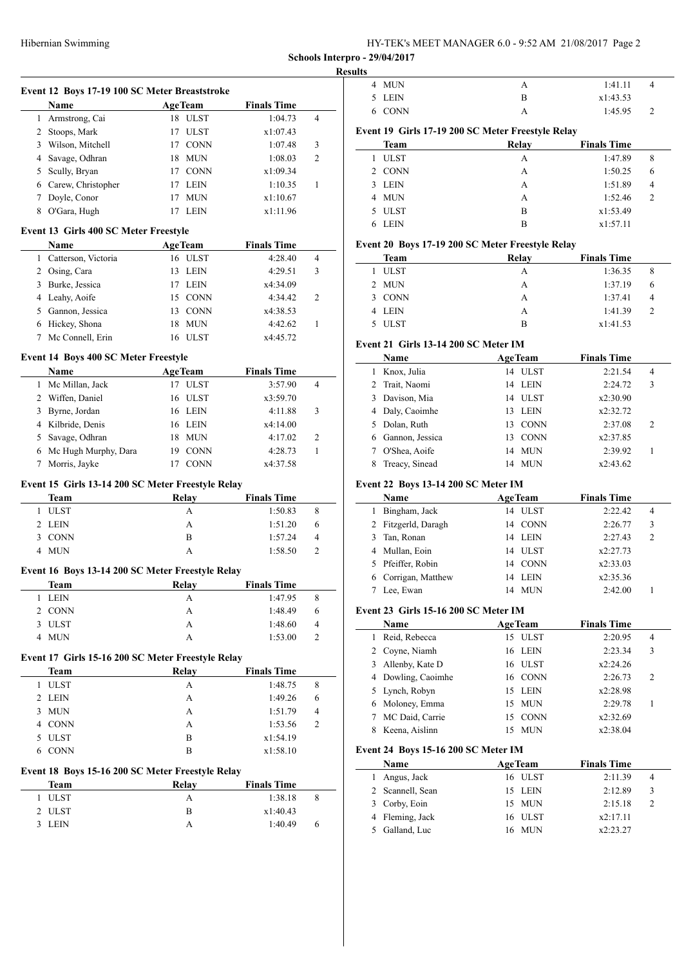HY-TEK's MEET MANAGER 6.0 - 9:52 AM 21/08/2017 Page 2

**Schools Interpro - 29/04/2017**

|                       | Event 12 Boys 17-19 100 SC Meter Breaststroke     |                  |                    |                |
|-----------------------|---------------------------------------------------|------------------|--------------------|----------------|
|                       | Name                                              | AgeTeam          | <b>Finals Time</b> | $\overline{4}$ |
|                       | 1 Armstrong, Cai                                  | 18 ULST          | 1:04.73            |                |
|                       | 2 Stoops, Mark                                    | 17 ULST          | x1:07.43           |                |
| $\overline{3}$        | Wilson, Mitchell                                  | 17 CONN          | 1:07.48            | 3              |
|                       | 4 Savage, Odhran                                  | 18 MUN           | 1:08.03            | 2              |
| 5                     | Scully, Bryan                                     | 17 CONN          | x1:09.34           |                |
|                       | 6 Carew, Christopher                              | 17 LEIN          | 1:10.35            | 1              |
| 7                     | Doyle, Conor                                      | 17<br><b>MUN</b> | x1:10.67           |                |
| 8                     | O'Gara, Hugh                                      | 17 LEIN          | x1:11.96           |                |
|                       | Event 13 Girls 400 SC Meter Freestyle             |                  |                    |                |
|                       | Name                                              | <b>AgeTeam</b>   | <b>Finals Time</b> |                |
|                       | 1 Catterson, Victoria                             | 16 ULST          | 4:28.40            | $\overline{4}$ |
|                       | 2 Osing, Cara                                     | 13 LEIN          | 4:29.51            | 3              |
|                       | 3 Burke, Jessica                                  | 17 LEIN          | x4:34.09           |                |
|                       | 4 Leahy, Aoife                                    | 15 CONN          | 4:34.42            | 2              |
|                       | 5 Gannon, Jessica                                 | 13 CONN          | x4:38.53           |                |
|                       | 6 Hickey, Shona                                   | 18 MUN           | 4:42.62            | 1              |
|                       | 7 Mc Connell, Erin                                | 16 ULST          | x4:45.72           |                |
|                       | <b>Event 14 Boys 400 SC Meter Freestyle</b>       |                  |                    |                |
|                       | Name                                              | <b>AgeTeam</b>   | <b>Finals Time</b> |                |
|                       | 1 Mc Millan, Jack                                 | 17 ULST          | 3:57.90            | 4              |
|                       | 2 Wiffen, Daniel                                  | 16 ULST          | x3:59.70           |                |
|                       | 3 Byrne, Jordan                                   | 16 LEIN          | 4:11.88            | 3              |
|                       | 4 Kilbride, Denis                                 | 16 LEIN          | x4:14.00           |                |
|                       | 5 Savage, Odhran                                  | 18 MUN           | 4:17.02            | 2              |
|                       | 6 Mc Hugh Murphy, Dara                            | 19 CONN          | 4:28.73            | 1              |
| 7                     | Morris, Jayke                                     | 17 CONN          | x4:37.58           |                |
|                       |                                                   |                  |                    |                |
|                       | Event 15 Girls 13-14 200 SC Meter Freestyle Relay |                  |                    |                |
|                       | <b>Team</b>                                       | <b>Relay</b>     | <b>Finals Time</b> |                |
|                       | 1 ULST                                            | A                | 1:50.83            | 8              |
|                       | 2 LEIN                                            | A                | 1:51.20            | 6              |
|                       | <b>CONN</b>                                       | B                | 1:57.24            | 4              |
|                       | 4 MUN                                             | A                | 1:58.50            | 2              |
|                       | Event 16 Boys 13-14 200 SC Meter Freestyle Relay  |                  |                    |                |
|                       | Team                                              | <b>Relay</b>     | <b>Finals Time</b> |                |
|                       | <b>LEIN</b>                                       | Α                | 1:47.95            | 8              |
|                       | <b>CONN</b>                                       | A                | 1:48.49            | 6              |
|                       | <b>ULST</b>                                       | А                | 1:48.60            | 4              |
|                       | <b>MUN</b>                                        | А                | 1:53.00            | 2              |
|                       | Event 17 Girls 15-16 200 SC Meter Freestyle Relay |                  |                    |                |
| 3<br>1<br>2<br>3<br>4 | <b>Team</b>                                       | <b>Relay</b>     | <b>Finals Time</b> |                |
|                       | 1 ULST                                            | А                | 1:48.75            | 8              |
|                       | 2 LEIN                                            | A                | 1:49.26            | 6              |
| 3                     | <b>MUN</b>                                        | A                | 1:51.79            | 4              |
|                       | <b>CONN</b>                                       | A                | 1:53.56            | 2              |
|                       | <b>ULST</b>                                       | B                | x1:54.19           |                |
|                       | <b>CONN</b>                                       | B                | x1:58.10           |                |
|                       | Event 18 Boys 15-16 200 SC Meter Freestyle Relay  |                  |                    |                |
|                       | <b>Team</b>                                       | <b>Relay</b>     | <b>Finals Time</b> |                |
| 4<br>5<br>6<br>1      | <b>ULST</b>                                       | Α                | 1:38.18            | 8              |
| 2                     | <b>ULST</b>                                       | B                | x1:40.43           |                |

| 4              | MUN                                               | А                              | 1:41.11             | 4              |
|----------------|---------------------------------------------------|--------------------------------|---------------------|----------------|
| 5              | LEIN                                              | B                              | x1:43.53            |                |
| 6              | <b>CONN</b>                                       | A                              | 1:45.95             | 2              |
|                | Event 19 Girls 17-19 200 SC Meter Freestyle Relay |                                |                     |                |
|                | Team                                              | Relay                          | <b>Finals Time</b>  |                |
| 1              | <b>ULST</b>                                       | А                              | 1:47.89             | 8              |
| 2              | <b>CONN</b>                                       | А                              | 1:50.25             | 6              |
| 3              | <b>LEIN</b>                                       | А                              | 1:51.89             | 4              |
| 4              | <b>MUN</b>                                        | А                              | 1:52.46             | 2              |
| 5              | <b>ULST</b>                                       | B                              | x1:53.49            |                |
| 6              | <b>LEIN</b>                                       | B                              | x1:57.11            |                |
|                | Event 20 Boys 17-19 200 SC Meter Freestyle Relay  |                                |                     |                |
|                | Team                                              | Relay                          | <b>Finals Time</b>  |                |
| 1              | <b>ULST</b>                                       | A                              | 1:36.35             | 8              |
| 2              | <b>MUN</b>                                        | А                              | 1:37.19             | 6              |
| 3              | <b>CONN</b>                                       | А                              | 1:37.41             | 4              |
| 4              | <b>LEIN</b>                                       | A                              | 1:41.39             | 2              |
| 5              | <b>ULST</b>                                       | B                              | x1:41.53            |                |
|                | Event 21  Girls 13-14 200 SC Meter IM             |                                |                     |                |
|                | Name                                              | <b>AgeTeam</b>                 | <b>Finals Time</b>  |                |
| 1              | Knox, Julia                                       | <b>ULST</b><br>14              | 2:21.54             | 4              |
| 2              | Trait, Naomi                                      | <b>LEIN</b><br>14              | 2:24.72             | 3              |
| 3              | Davison, Mia                                      | <b>ULST</b><br>14              | x2:30.90            |                |
| 4              | Daly, Caoimhe                                     | <b>LEIN</b><br>13              | x2:32.72            |                |
| 5              | Dolan, Ruth                                       | 13<br><b>CONN</b>              | 2:37.08             | 2              |
|                | 6 Gannon, Jessica                                 | 13<br><b>CONN</b>              | x2:37.85            |                |
| 7              | O'Shea, Aoife                                     | 14<br><b>MUN</b>               | 2:39.92             | 1              |
|                |                                                   |                                |                     |                |
| 8              | Treacy, Sinead                                    | <b>MUN</b><br>14               | x2:43.62            |                |
|                | <b>Event 22 Boys 13-14 200 SC Meter IM</b>        |                                |                     |                |
|                | Name                                              | <b>AgeTeam</b>                 | <b>Finals Time</b>  |                |
| 1              | Bingham, Jack                                     | 14 ULST                        | 2:22.42             | 4              |
| 2              | Fitzgerld, Daragh                                 | <b>CONN</b><br>14              | 2:26.77             | 3              |
| 3              | Tan, Ronan                                        | <b>LEIN</b><br>14              | 2:27.43             | 2              |
| 4              | Mullan, Eoin                                      | <b>ULST</b><br>14              | x2:27.73            |                |
| 5              | Pfeiffer, Robin                                   | <b>CONN</b><br>14              | x2:33.03            |                |
| 6              | Corrigan, Matthew                                 | <b>LEIN</b><br>14              | x2:35.36            |                |
|                | 7 Lee, Ewan                                       | 14 MUN                         | 2:42.00             | 1              |
|                | Event 23 Girls 15-16 200 SC Meter IM              |                                |                     |                |
|                | Name                                              | <b>AgeTeam</b>                 | <b>Finals Time</b>  |                |
| $\mathbf{1}$   | Reid, Rebecca                                     | 15 ULST                        | 2:20.95             | $\overline{4}$ |
|                | 2 Coyne, Niamh                                    | <b>LEIN</b><br>16              | 2:23.34             | 3              |
| 3              | Allenby, Kate D                                   | 16 ULST                        | x2:24.26            |                |
| 4              | Dowling, Caoimhe                                  | 16 CONN                        | 2:26.73             | 2              |
| 5              | Lynch, Robyn                                      | LEIN<br>15                     | x2:28.98            |                |
| 6              | Moloney, Emma                                     | <b>MUN</b><br>15               | 2:29.78             | 1              |
| 7              | MC Daid, Carrie                                   | <b>CONN</b><br>15              | x2:32.69            |                |
| 8              | Keena, Aislinn                                    | <b>MUN</b><br>15               | x2:38.04            |                |
|                | Event 24 Boys 15-16 200 SC Meter IM               |                                |                     |                |
|                | Name                                              | <b>AgeTeam</b>                 | <b>Finals Time</b>  |                |
| 1              | Angus, Jack                                       | 16 ULST                        | 2:11.39             | 4              |
| $\overline{2}$ | Scannell, Sean                                    | LEIN<br>15                     | 2:12.89             | 3              |
| 3<br>4         | Corby, Eoin<br>Fleming, Jack                      | <b>MUN</b><br>15<br>16<br>ULST | 2:15.18<br>x2:17.11 | 2              |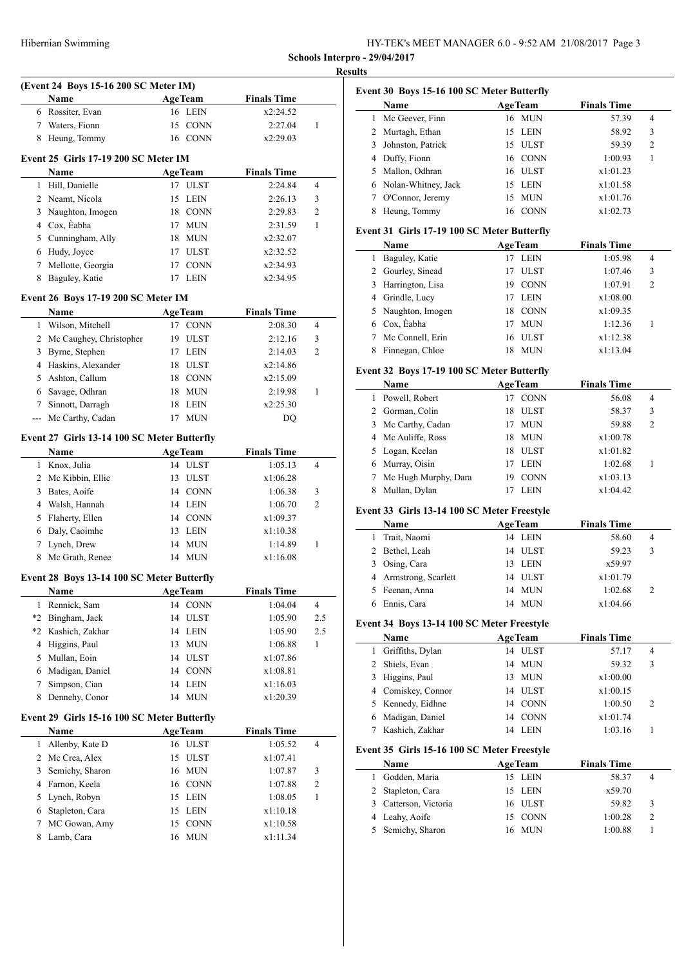HY-TEK's MEET MANAGER 6.0 - 9:52 AM 21/08/2017 Page 3

**Schools Interpro - 29/04/2017 Results**

|                | (Event 24 Boys 15-16 200 SC Meter IM)       |                                |                               |                |
|----------------|---------------------------------------------|--------------------------------|-------------------------------|----------------|
|                | Name                                        | <b>AgeTeam</b>                 | <b>Finals Time</b>            |                |
| 6              | Rossiter, Evan                              | 16 LEIN                        | x2:24.52                      |                |
| 7              | Waters, Fionn                               | 15<br>CONN                     | 2:27.04                       | 1              |
| 8              | Heung, Tommy                                | 16 CONN                        | x2:29.03                      |                |
|                | <b>Event 25 Girls 17-19 200 SC Meter IM</b> |                                |                               |                |
|                | Name                                        | <b>AgeTeam</b>                 | <b>Finals Time</b>            |                |
| $\mathbf{1}$   | Hill, Danielle                              | 17 ULST                        | 2:24.84                       | 4              |
|                | 2 Neamt, Nicola                             | 15<br>LEIN                     | 2:26.13                       | 3              |
| 3              | Naughton, Imogen                            | 18 CONN                        | 2:29.83                       | 2              |
|                | 4 Cox, Eabha                                | 17<br><b>MUN</b>               | 2:31.59                       | 1              |
|                | 5 Cunningham, Ally                          | 18<br><b>MUN</b>               | x2:32.07                      |                |
| 6              | Hudy, Joyce                                 | 17<br><b>ULST</b>              | x2:32.52                      |                |
| 7              | Mellotte, Georgia                           | 17<br><b>CONN</b>              | x2:34.93                      |                |
| 8              | Baguley, Katie                              | 17<br><b>LEIN</b>              | x2:34.95                      |                |
|                |                                             |                                |                               |                |
|                | Event 26 Boys 17-19 200 SC Meter IM         | <b>AgeTeam</b>                 |                               |                |
| 1              | Name                                        | 17 CONN                        | <b>Finals Time</b><br>2:08.30 | 4              |
|                | Wilson, Mitchell                            |                                |                               |                |
|                | 2 Mc Caughey, Christopher                   | 19 ULST                        | 2:12.16                       | 3              |
| 3              | Byrne, Stephen                              | 17 LEIN                        | 2:14.03                       | $\overline{c}$ |
|                | 4 Haskins, Alexander                        | 18 ULST                        | x2:14.86                      |                |
| 5              | Ashton, Callum                              | 18 CONN                        | x2:15.09                      |                |
|                | 6 Savage, Odhran                            | 18<br><b>MUN</b>               | 2:19.98                       | 1              |
| $7^{\circ}$    | Sinnott, Darragh                            | 18<br><b>LEIN</b>              | x2:25.30                      |                |
|                | --- Mc Carthy, Cadan                        | 17<br><b>MUN</b>               | DQ                            |                |
|                | Event 27 Girls 13-14 100 SC Meter Butterfly |                                |                               |                |
|                | Name                                        | <b>AgeTeam</b>                 | <b>Finals Time</b>            |                |
|                | 1 Knox, Julia                               | 14<br>ULST                     | 1:05.13                       | $\overline{4}$ |
|                | 2 Mc Kibbin, Ellie                          | 13<br>ULST                     | x1:06.28                      |                |
| 3              | Bates, Aoife                                | 14 CONN                        | 1:06.38                       | 3              |
|                | 4 Walsh, Hannah                             | 14 LEIN                        | 1:06.70                       | $\overline{c}$ |
| 5              | Flaherty, Ellen                             | 14 CONN                        | x1:09.37                      |                |
| 6              | Daly, Caoimhe                               | 13 LEIN                        | x1:10.38                      |                |
| 7              | Lynch, Drew                                 | 14<br><b>MUN</b>               | 1:14.89                       | 1              |
| 8              | Mc Grath, Renee                             | 14 MUN                         | x1:16.08                      |                |
|                | Event 28 Boys 13-14 100 SC Meter Butterfly  |                                |                               |                |
|                | Name                                        | <b>AgeTeam</b>                 | <b>Finals Time</b>            |                |
| 1              | Rennick, Sam                                | <b>CONN</b><br>14              | 1:04.04                       | 4              |
| $*2$           | Bingham, Jack                               | 14<br>ULST                     | 1:05.90                       | 2.5            |
| $*2$           | Kashich, Zakhar                             | 14<br>LEIN                     | 1:05.90                       | 2.5            |
| $\overline{4}$ | Higgins, Paul                               | 13<br><b>MUN</b>               | 1:06.88                       | 1              |
| 5              | Mullan, Eoin                                | 14<br><b>ULST</b>              | x1:07.86                      |                |
| 6              | Madigan, Daniel                             | 14<br>$\mathop{\mathrm{CONN}}$ | x1:08.81                      |                |
| 7              | Simpson, Cian                               | 14<br><b>LEIN</b>              | x1:16.03                      |                |
| 8              | Dennehy, Conor                              | 14<br><b>MUN</b>               | x1:20.39                      |                |
|                |                                             |                                |                               |                |
|                | Event 29 Girls 15-16 100 SC Meter Butterfly |                                |                               |                |
|                | Name                                        | <b>AgeTeam</b>                 | <b>Finals Time</b>            |                |
| 1              | Allenby, Kate D                             | 16 ULST                        | 1:05.52                       | 4              |
| 2              | Mc Crea, Alex                               | 15<br>ULST                     | x1:07.41                      |                |
| 3              | Semichy, Sharon                             | <b>MUN</b><br>16               | 1:07.87                       | 3              |
| 4              | Farnon, Keela                               | 16 CONN                        | 1:07.88                       | 2              |
| 5              | Lynch, Robyn                                | 15<br>LEIN                     | 1:08.05                       | 1              |
| 6              | Stapleton, Cara                             | 15<br><b>LEIN</b>              | x1:10.18                      |                |
| 7              | MC Gowan, Amy                               | 15<br><b>CONN</b>              | x1:10.58                      |                |
| 8              | Lamb, Cara                                  | <b>MUN</b><br>16               | x1:11.34                      |                |
|                |                                             |                                |                               |                |

### **Event 30 Boys 15-16 100 SC Meter Butterfly**

| Name                  |     | <b>AgeTeam</b> | <b>Finals Time</b> |                |
|-----------------------|-----|----------------|--------------------|----------------|
| Mc Geever, Finn       |     | 16 MUN         | 57.39              | 4              |
| 2 Murtagh, Ethan      | 15. | LEIN           | 58.92              | 3              |
| 3 Johnston, Patrick   | 15  | <b>ULST</b>    | 59.39              | $\overline{c}$ |
| 4 Duffy, Fionn        |     | 16 CONN        | 1:00.93            |                |
| 5 Mallon, Odhran      |     | 16 ULST        | x1:01.23           |                |
| 6 Nolan-Whitney, Jack | 15  | LEIN           | x1:01.58           |                |
| O'Connor, Jeremy      | 15  | <b>MUN</b>     | x1:01.76           |                |
| Heung, Tommy          | 16  | <b>CONN</b>    | x1:02.73           |                |

### **Event 31 Girls 17-19 100 SC Meter Butterfly**

| Name               |    | <b>AgeTeam</b> | <b>Finals Time</b> |                |
|--------------------|----|----------------|--------------------|----------------|
| Baguley, Katie     |    | LEIN           | 1:05.98            | 4              |
| 2 Gourley, Sinead  |    | <b>ULST</b>    | 1:07.46            | 3              |
| 3 Harrington, Lisa | 19 | <b>CONN</b>    | 1:07.91            | $\overline{2}$ |
| 4 Grindle, Lucy    |    | LEIN           | x1:08.00           |                |
| 5 Naughton, Imogen | 18 | <b>CONN</b>    | x1:09.35           |                |
| 6 Cox, Eabha       |    | <b>MUN</b>     | 1:12.36            |                |
| Mc Connell, Erin   | 16 | <b>ULST</b>    | x1:12.38           |                |
| Finnegan, Chloe    | 18 | <b>MUN</b>     | x1:13.04           |                |

#### **Event 32 Boys 17-19 100 SC Meter Butterfly**

|   | <b>Name</b>          |    | <b>AgeTeam</b> | <b>Finals Time</b> |                |  |
|---|----------------------|----|----------------|--------------------|----------------|--|
| L | Powell, Robert       |    | <b>CONN</b>    | 56.08              | 4              |  |
|   | 2 Gorman, Colin      | 18 | <b>ULST</b>    | 58.37              | 3              |  |
|   | 3 Mc Carthy, Cadan   | 17 | <b>MUN</b>     | 59.88              | $\overline{c}$ |  |
|   | 4 Mc Auliffe, Ross   | 18 | <b>MUN</b>     | x1:00.78           |                |  |
|   | 5 Logan, Keelan      | 18 | <b>ULST</b>    | x1:01.82           |                |  |
|   | 6 Murray, Oisin      | 17 | <b>LEIN</b>    | 1:02.68            |                |  |
| 7 | Mc Hugh Murphy, Dara | 19 | <b>CONN</b>    | x1:03.13           |                |  |
|   | Mullan, Dylan        |    | <b>LEIN</b>    | x1:04.42           |                |  |

#### **Event 33 Girls 13-14 100 SC Meter Freestyle**

| Name                  | <b>AgeTeam</b> | <b>Finals Time</b> |               |
|-----------------------|----------------|--------------------|---------------|
| 1 Trait, Naomi        | 14 LEIN        | 58.60              | 4             |
| 2 Bethel, Leah        | 14 ULST        | 59.23              | 3             |
| 3 Osing, Cara         | 13 LEIN        | x59.97             |               |
| 4 Armstrong, Scarlett | 14 ULST        | x1:01.79           |               |
| 5 Feenan, Anna        | 14 MUN         | 1:02.68            | $\mathcal{D}$ |
| 6 Ennis, Cara         | 14 MUN         | x1:04.66           |               |

#### **Event 34 Boys 13-14 100 SC Meter Freestyle**

| Name               |    | <b>AgeTeam</b> | <b>Finals Time</b> |                |  |
|--------------------|----|----------------|--------------------|----------------|--|
| 1 Griffiths, Dylan |    | 14 ULST        | 57.17              | 4              |  |
| 2 Shiels, Evan     |    | 14 MUN         | 59.32              | 3              |  |
| 3 Higgins, Paul    |    | 13 MUN         | x1:00.00           |                |  |
| 4 Comiskey, Connor |    | 14 ULST        | x1:00.15           |                |  |
| 5 Kennedy, Eidhne  | 14 | <b>CONN</b>    | 1:00.50            | $\overline{2}$ |  |
| 6 Madigan, Daniel  |    | 14 CONN        | x1:01.74           |                |  |
| Kashich, Zakhar    | 14 | <b>LEIN</b>    | 1:03.16            |                |  |

#### **Event 35 Girls 15-16 100 SC Meter Freestyle**

|    | <b>Name</b>           | <b>AgeTeam</b> | <b>Finals Time</b> |  |
|----|-----------------------|----------------|--------------------|--|
| 1. | Godden, Maria         | 15 LEIN        | 58.37              |  |
|    | 2 Stapleton, Cara     | 15 LEIN        | x59.70             |  |
|    | 3 Catterson, Victoria | 16 ULST        | 59.82              |  |
|    | 4 Leahy, Aoife        | 15 CONN        | 1:00.28            |  |
|    | 5 Semichy, Sharon     | 16 MUN         | 1:00.88            |  |
|    |                       |                |                    |  |